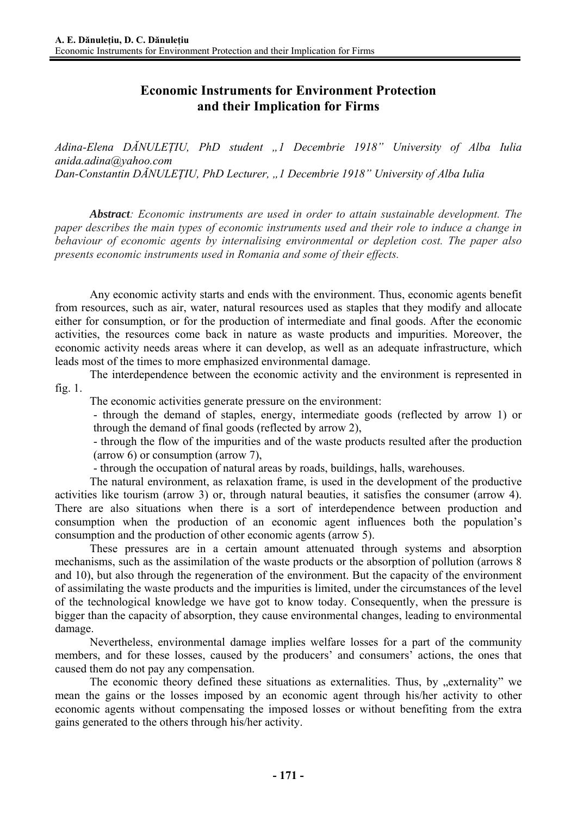## **Economic Instruments for Environment Protection and their Implication for Firms**

*Adina-Elena DĂNULEŢIU, PhD student "1 Decembrie 1918" University of Alba Iulia anida.adina@yahoo.com Dan-Constantin DĂNULEŢIU, PhD Lecturer, "1 Decembrie 1918" University of Alba Iulia* 

*Abstract: Economic instruments are used in order to attain sustainable development. The paper describes the main types of economic instruments used and their role to induce a change in behaviour of economic agents by internalising environmental or depletion cost. The paper also presents economic instruments used in Romania and some of their effects.* 

Any economic activity starts and ends with the environment. Thus, economic agents benefit from resources, such as air, water, natural resources used as staples that they modify and allocate either for consumption, or for the production of intermediate and final goods. After the economic activities, the resources come back in nature as waste products and impurities. Moreover, the economic activity needs areas where it can develop, as well as an adequate infrastructure, which leads most of the times to more emphasized environmental damage.

The interdependence between the economic activity and the environment is represented in fig. 1.

The economic activities generate pressure on the environment:

- through the demand of staples, energy, intermediate goods (reflected by arrow 1) or through the demand of final goods (reflected by arrow 2),

- through the flow of the impurities and of the waste products resulted after the production (arrow 6) or consumption (arrow 7),

- through the occupation of natural areas by roads, buildings, halls, warehouses.

The natural environment, as relaxation frame, is used in the development of the productive activities like tourism (arrow 3) or, through natural beauties, it satisfies the consumer (arrow 4). There are also situations when there is a sort of interdependence between production and consumption when the production of an economic agent influences both the population's consumption and the production of other economic agents (arrow 5).

These pressures are in a certain amount attenuated through systems and absorption mechanisms, such as the assimilation of the waste products or the absorption of pollution (arrows 8 and 10), but also through the regeneration of the environment. But the capacity of the environment of assimilating the waste products and the impurities is limited, under the circumstances of the level of the technological knowledge we have got to know today. Consequently, when the pressure is bigger than the capacity of absorption, they cause environmental changes, leading to environmental damage.

Nevertheless, environmental damage implies welfare losses for a part of the community members, and for these losses, caused by the producers' and consumers' actions, the ones that caused them do not pay any compensation.

The economic theory defined these situations as externalities. Thus, by "externality" we mean the gains or the losses imposed by an economic agent through his/her activity to other economic agents without compensating the imposed losses or without benefiting from the extra gains generated to the others through his/her activity.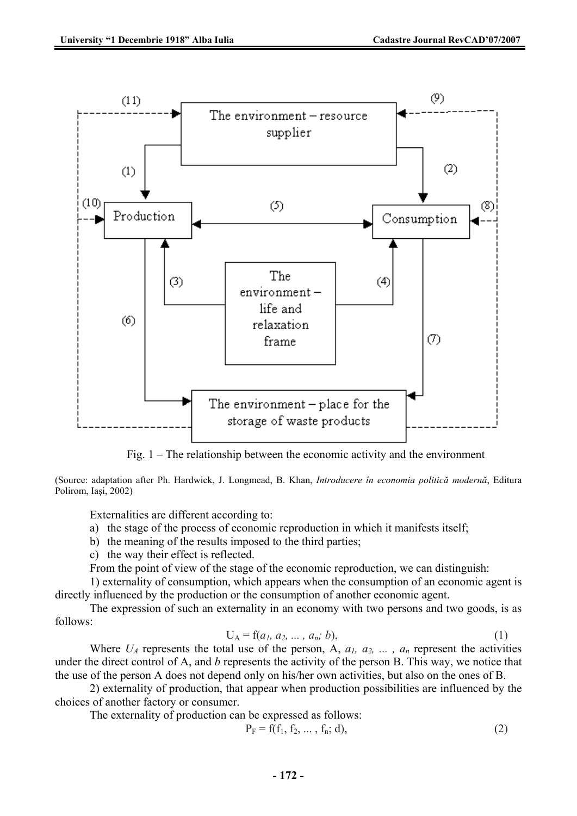

Fig. 1 – The relationship between the economic activity and the environment

(Source: adaptation after Ph. Hardwick, J. Longmead, B. Khan, *Introducere în economia politică modernă*, Editura Polirom, Iaşi, 2002)

Externalities are different according to:

- a) the stage of the process of economic reproduction in which it manifests itself;
- b) the meaning of the results imposed to the third parties;
- c) the way their effect is reflected.

From the point of view of the stage of the economic reproduction, we can distinguish:

1) externality of consumption, which appears when the consumption of an economic agent is directly influenced by the production or the consumption of another economic agent.

The expression of such an externality in an economy with two persons and two goods, is as follows:

$$
U_A = f(a_1, a_2, ..., a_n; b),
$$
 (1)

Where  $U_A$  represents the total use of the person, A,  $a_1$ ,  $a_2$ , ...,  $a_n$  represent the activities under the direct control of A, and *b* represents the activity of the person B. This way, we notice that the use of the person A does not depend only on his/her own activities, but also on the ones of B.

2) externality of production, that appear when production possibilities are influenced by the choices of another factory or consumer.

The externality of production can be expressed as follows:

$$
P_F = f(f_1, f_2, \dots, f_n; d),
$$
 (2)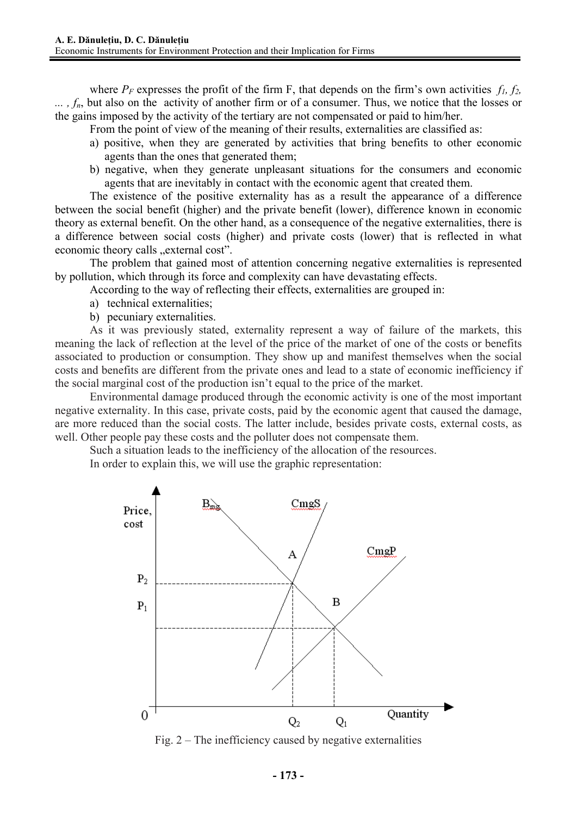where  $P_F$  expresses the profit of the firm F, that depends on the firm's own activities  $f_I$ ,  $f_2$ , ...,  $f_n$ , but also on the activity of another firm or of a consumer. Thus, we notice that the losses or the gains imposed by the activity of the tertiary are not compensated or paid to him/her.

From the point of view of the meaning of their results, externalities are classified as:

- a) positive, when they are generated by activities that bring benefits to other economic agents than the ones that generated them;
- b) negative, when they generate unpleasant situations for the consumers and economic agents that are inevitably in contact with the economic agent that created them.

The existence of the positive externality has as a result the appearance of a difference between the social benefit (higher) and the private benefit (lower), difference known in economic theory as external benefit. On the other hand, as a consequence of the negative externalities, there is a difference between social costs (higher) and private costs (lower) that is reflected in what economic theory calls "external cost".

The problem that gained most of attention concerning negative externalities is represented by pollution, which through its force and complexity can have devastating effects.

According to the way of reflecting their effects, externalities are grouped in:

- a) technical externalities;
- b) pecuniary externalities.

As it was previously stated, externality represent a way of failure of the markets, this meaning the lack of reflection at the level of the price of the market of one of the costs or benefits associated to production or consumption. They show up and manifest themselves when the social costs and benefits are different from the private ones and lead to a state of economic inefficiency if the social marginal cost of the production isn't equal to the price of the market.

Environmental damage produced through the economic activity is one of the most important negative externality. In this case, private costs, paid by the economic agent that caused the damage, are more reduced than the social costs. The latter include, besides private costs, external costs, as well. Other people pay these costs and the polluter does not compensate them.

Such a situation leads to the inefficiency of the allocation of the resources.

In order to explain this, we will use the graphic representation:



Fig. 2 – The inefficiency caused by negative externalities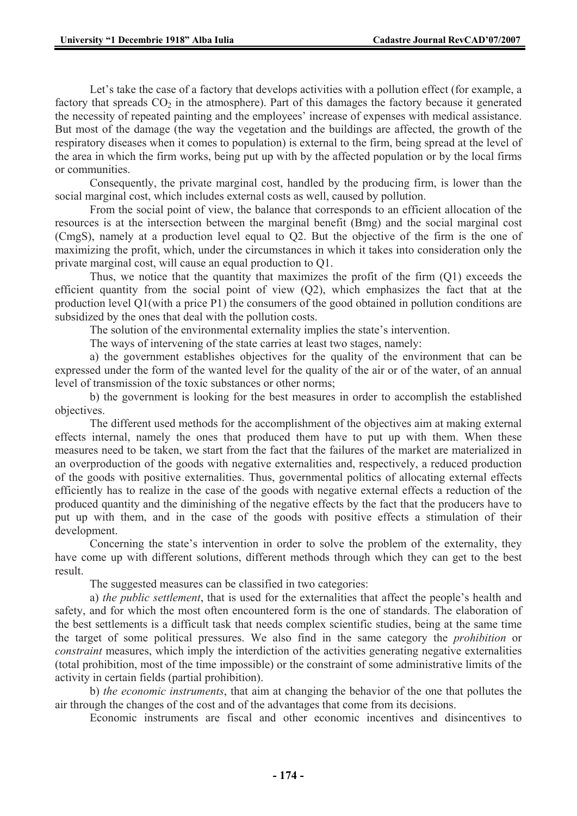Let's take the case of a factory that develops activities with a pollution effect (for example, a factory that spreads  $CO<sub>2</sub>$  in the atmosphere). Part of this damages the factory because it generated the necessity of repeated painting and the employees' increase of expenses with medical assistance. But most of the damage (the way the vegetation and the buildings are affected, the growth of the respiratory diseases when it comes to population) is external to the firm, being spread at the level of the area in which the firm works, being put up with by the affected population or by the local firms or communities.

Consequently, the private marginal cost, handled by the producing firm, is lower than the social marginal cost, which includes external costs as well, caused by pollution.

From the social point of view, the balance that corresponds to an efficient allocation of the resources is at the intersection between the marginal benefit (Bmg) and the social marginal cost (CmgS), namely at a production level equal to Q2. But the objective of the firm is the one of maximizing the profit, which, under the circumstances in which it takes into consideration only the private marginal cost, will cause an equal production to Q1.

Thus, we notice that the quantity that maximizes the profit of the firm (Q1) exceeds the efficient quantity from the social point of view  $(Q2)$ , which emphasizes the fact that at the production level Q1(with a price P1) the consumers of the good obtained in pollution conditions are subsidized by the ones that deal with the pollution costs.

The solution of the environmental externality implies the state's intervention.

The ways of intervening of the state carries at least two stages, namely:

a) the government establishes objectives for the quality of the environment that can be expressed under the form of the wanted level for the quality of the air or of the water, of an annual level of transmission of the toxic substances or other norms;

b) the government is looking for the best measures in order to accomplish the established objectives.

The different used methods for the accomplishment of the objectives aim at making external effects internal, namely the ones that produced them have to put up with them. When these measures need to be taken, we start from the fact that the failures of the market are materialized in an overproduction of the goods with negative externalities and, respectively, a reduced production of the goods with positive externalities. Thus, governmental politics of allocating external effects efficiently has to realize in the case of the goods with negative external effects a reduction of the produced quantity and the diminishing of the negative effects by the fact that the producers have to put up with them, and in the case of the goods with positive effects a stimulation of their development.

Concerning the state's intervention in order to solve the problem of the externality, they have come up with different solutions, different methods through which they can get to the best result.

The suggested measures can be classified in two categories:

a) *the public settlement*, that is used for the externalities that affect the people's health and safety, and for which the most often encountered form is the one of standards. The elaboration of the best settlements is a difficult task that needs complex scientific studies, being at the same time the target of some political pressures. We also find in the same category the *prohibition* or *constraint* measures, which imply the interdiction of the activities generating negative externalities (total prohibition, most of the time impossible) or the constraint of some administrative limits of the activity in certain fields (partial prohibition).

b) *the economic instruments*, that aim at changing the behavior of the one that pollutes the air through the changes of the cost and of the advantages that come from its decisions.

Economic instruments are fiscal and other economic incentives and disincentives to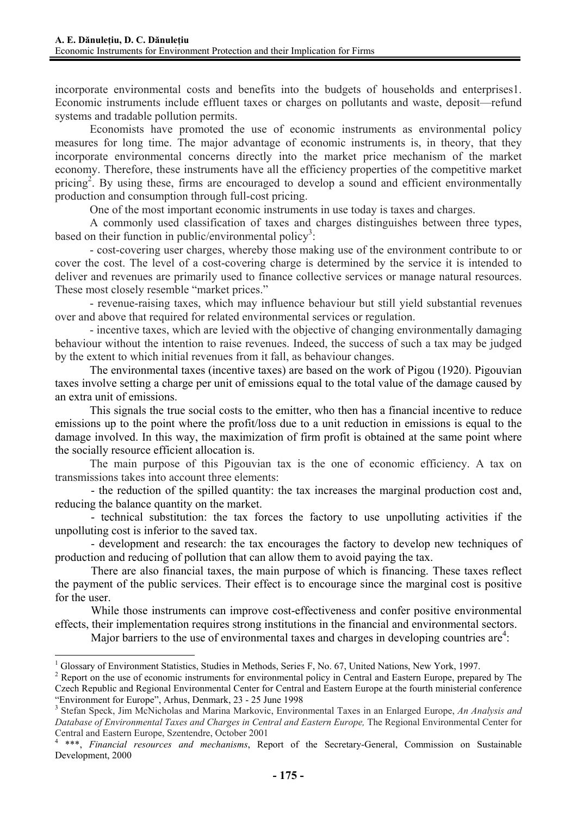incorporate environmental costs and benefits into the budgets of households and enterprises1. Economic instruments include effluent taxes or charges on pollutants and waste, deposit—refund systems and tradable pollution permits.

Economists have promoted the use of economic instruments as environmental policy measures for long time. The major advantage of economic instruments is, in theory, that they incorporate environmental concerns directly into the market price mechanism of the market economy. Therefore, these instruments have all the efficiency properties of the competitive market pricing<sup>2</sup>. By using these, firms are encouraged to develop a sound and efficient environmentally production and consumption through full-cost pricing.

One of the most important economic instruments in use today is taxes and charges.

A commonly used classification of taxes and charges distinguishes between three types, based on their function in public/environmental policy<sup>3</sup>:

- cost-covering user charges, whereby those making use of the environment contribute to or cover the cost. The level of a cost-covering charge is determined by the service it is intended to deliver and revenues are primarily used to finance collective services or manage natural resources. These most closely resemble "market prices."

- revenue-raising taxes, which may influence behaviour but still yield substantial revenues over and above that required for related environmental services or regulation.

- incentive taxes, which are levied with the objective of changing environmentally damaging behaviour without the intention to raise revenues. Indeed, the success of such a tax may be judged by the extent to which initial revenues from it fall, as behaviour changes.

The environmental taxes (incentive taxes) are based on the work of Pigou (1920). Pigouvian taxes involve setting a charge per unit of emissions equal to the total value of the damage caused by an extra unit of emissions.

This signals the true social costs to the emitter, who then has a financial incentive to reduce emissions up to the point where the profit/loss due to a unit reduction in emissions is equal to the damage involved. In this way, the maximization of firm profit is obtained at the same point where the socially resource efficient allocation is.

The main purpose of this Pigouvian tax is the one of economic efficiency. A tax on transmissions takes into account three elements:

- the reduction of the spilled quantity: the tax increases the marginal production cost and, reducing the balance quantity on the market.

- technical substitution: the tax forces the factory to use unpolluting activities if the unpolluting cost is inferior to the saved tax.

- development and research: the tax encourages the factory to develop new techniques of production and reducing of pollution that can allow them to avoid paying the tax.

There are also financial taxes, the main purpose of which is financing. These taxes reflect the payment of the public services. Their effect is to encourage since the marginal cost is positive for the user.

While those instruments can improve cost-effectiveness and confer positive environmental effects, their implementation requires strong institutions in the financial and environmental sectors.

Major barriers to the use of environmental taxes and charges in developing countries are<sup>4</sup>:

 $\overline{a}$ 

<sup>&</sup>lt;sup>1</sup> Glossary of Environment Statistics, Studies in Methods, Series F, No. 67, United Nations, New York, 1997.

<sup>&</sup>lt;sup>2</sup> Report on the use of economic instruments for environmental policy in Central and Eastern Europe, prepared by The Czech Republic and Regional Environmental Center for Central and Eastern Europe at the fourth ministerial conference "Environment for Europe", Arhus, Denmark, 23 - 25 June 1998

<sup>3</sup> Stefan Speck, Jim McNicholas and Marina Markovic, Environmental Taxes in an Enlarged Europe, *An Analysis and Database of Environmental Taxes and Charges in Central and Eastern Europe,* The Regional Environmental Center for Central and Eastern Europe, Szentendre, October 2001

<sup>4</sup> \*\*\*, *Financial resources and mechanisms*, Report of the Secretary-General, Commission on Sustainable Development, 2000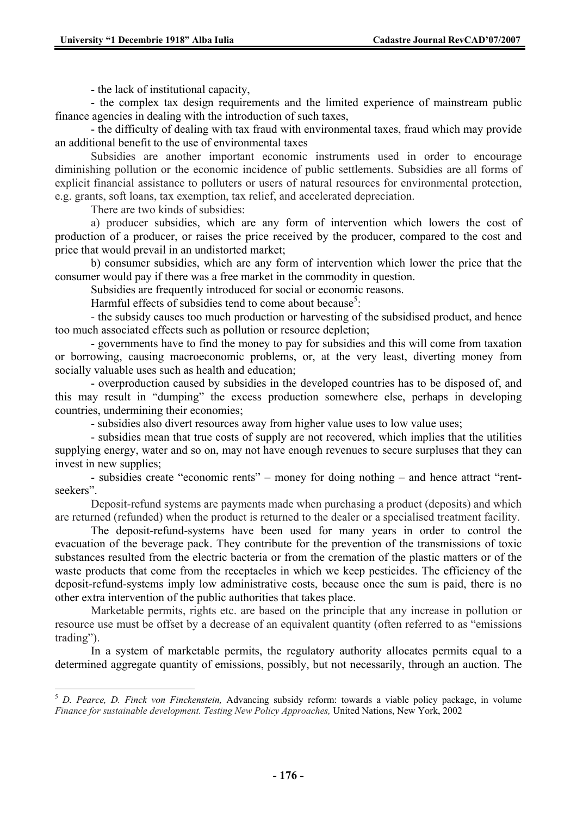- the lack of institutional capacity,

- the complex tax design requirements and the limited experience of mainstream public finance agencies in dealing with the introduction of such taxes,

- the difficulty of dealing with tax fraud with environmental taxes, fraud which may provide an additional benefit to the use of environmental taxes

Subsidies are another important economic instruments used in order to encourage diminishing pollution or the economic incidence of public settlements. Subsidies are all forms of explicit financial assistance to polluters or users of natural resources for environmental protection, e.g. grants, soft loans, tax exemption, tax relief, and accelerated depreciation.

There are two kinds of subsidies:

 $\overline{a}$ 

a) producer subsidies, which are any form of intervention which lowers the cost of production of a producer, or raises the price received by the producer, compared to the cost and price that would prevail in an undistorted market;

b) consumer subsidies, which are any form of intervention which lower the price that the consumer would pay if there was a free market in the commodity in question.

Subsidies are frequently introduced for social or economic reasons.

Harmful effects of subsidies tend to come about because<sup>5</sup>:

- the subsidy causes too much production or harvesting of the subsidised product, and hence too much associated effects such as pollution or resource depletion;

- governments have to find the money to pay for subsidies and this will come from taxation or borrowing, causing macroeconomic problems, or, at the very least, diverting money from socially valuable uses such as health and education;

- overproduction caused by subsidies in the developed countries has to be disposed of, and this may result in "dumping" the excess production somewhere else, perhaps in developing countries, undermining their economies;

- subsidies also divert resources away from higher value uses to low value uses;

- subsidies mean that true costs of supply are not recovered, which implies that the utilities supplying energy, water and so on, may not have enough revenues to secure surpluses that they can invest in new supplies;

- subsidies create "economic rents" – money for doing nothing – and hence attract "rentseekers".

Deposit-refund systems are payments made when purchasing a product (deposits) and which are returned (refunded) when the product is returned to the dealer or a specialised treatment facility.

The deposit-refund-systems have been used for many years in order to control the evacuation of the beverage pack. They contribute for the prevention of the transmissions of toxic substances resulted from the electric bacteria or from the cremation of the plastic matters or of the waste products that come from the receptacles in which we keep pesticides. The efficiency of the deposit-refund-systems imply low administrative costs, because once the sum is paid, there is no other extra intervention of the public authorities that takes place.

Marketable permits, rights etc. are based on the principle that any increase in pollution or resource use must be offset by a decrease of an equivalent quantity (often referred to as "emissions trading").

In a system of marketable permits, the regulatory authority allocates permits equal to a determined aggregate quantity of emissions, possibly, but not necessarily, through an auction. The

<sup>5</sup> *D. Pearce, D. Finck von Finckenstein,* Advancing subsidy reform: towards a viable policy package, in volume *Finance for sustainable development. Testing New Policy Approaches,* United Nations, New York, 2002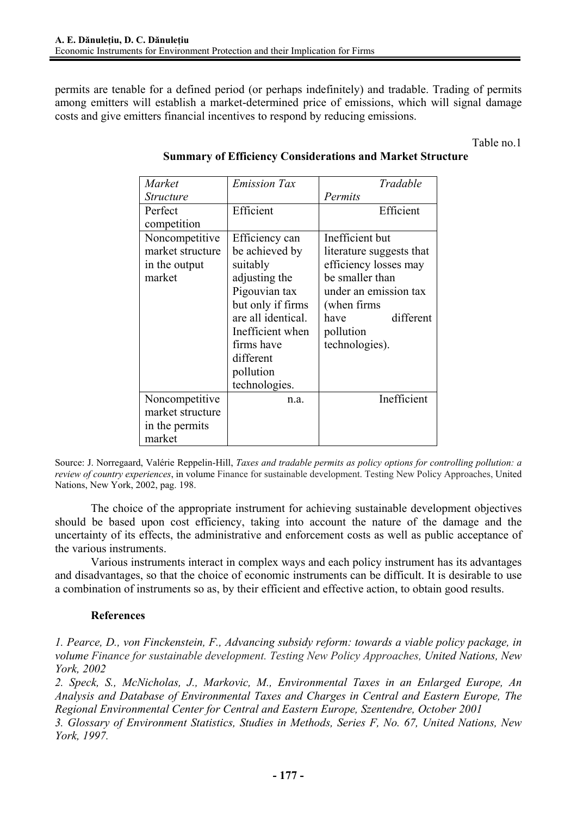permits are tenable for a defined period (or perhaps indefinitely) and tradable. Trading of permits among emitters will establish a market-determined price of emissions, which will signal damage costs and give emitters financial incentives to respond by reducing emissions.

Table no.1

| Market           | <b>Emission Tax</b> | Tradable                 |
|------------------|---------------------|--------------------------|
| <i>Structure</i> |                     | Permits                  |
| Perfect          | Efficient           | Efficient                |
| competition      |                     |                          |
| Noncompetitive   | Efficiency can      | Inefficient but          |
| market structure | be achieved by      | literature suggests that |
| in the output    | suitably            | efficiency losses may    |
| market           | adjusting the       | be smaller than          |
|                  | Pigouvian tax       | under an emission tax    |
|                  | but only if firms   | (when firms)             |
|                  | are all identical.  | different<br>have        |
|                  | Inefficient when    | pollution                |
|                  | firms have          | technologies).           |
|                  | different           |                          |
|                  | pollution           |                          |
|                  | technologies.       |                          |
| Noncompetitive   | n.a.                | Inefficient              |
| market structure |                     |                          |
| in the permits   |                     |                          |
| market           |                     |                          |

## **Summary of Efficiency Considerations and Market Structure**

Source: J. Norregaard, Valérie Reppelin-Hill, *Taxes and tradable permits as policy options for controlling pollution: a review of country experiences*, in volume Finance for sustainable development. Testing New Policy Approaches, United Nations, New York, 2002, pag. 198.

The choice of the appropriate instrument for achieving sustainable development objectives should be based upon cost efficiency, taking into account the nature of the damage and the uncertainty of its effects, the administrative and enforcement costs as well as public acceptance of the various instruments.

Various instruments interact in complex ways and each policy instrument has its advantages and disadvantages, so that the choice of economic instruments can be difficult. It is desirable to use a combination of instruments so as, by their efficient and effective action, to obtain good results.

## **References**

*1. Pearce, D., von Finckenstein, F., Advancing subsidy reform: towards a viable policy package, in volume Finance for sustainable development. Testing New Policy Approaches, United Nations, New York, 2002* 

*2. Speck, S., McNicholas, J., Markovic, M., Environmental Taxes in an Enlarged Europe, An Analysis and Database of Environmental Taxes and Charges in Central and Eastern Europe, The Regional Environmental Center for Central and Eastern Europe, Szentendre, October 2001* 

*3. Glossary of Environment Statistics, Studies in Methods, Series F, No. 67, United Nations, New York, 1997.*